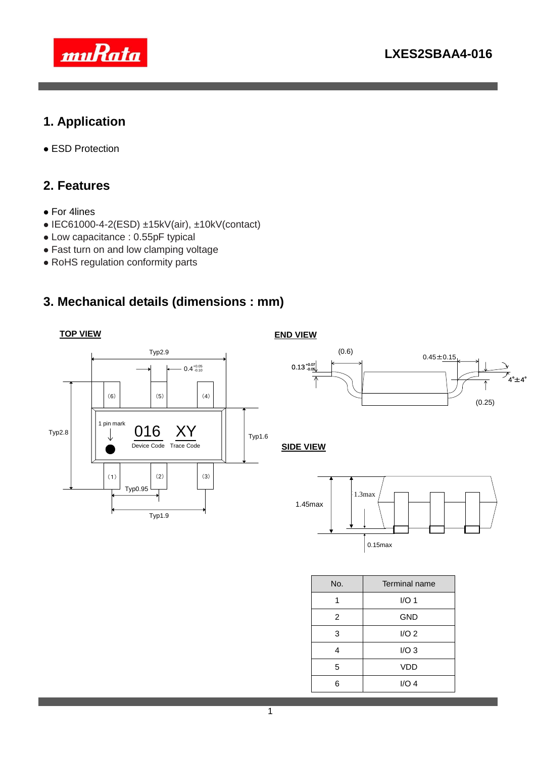

# **1. Application**

ESD Protection

#### **2. Features**

- For 4lines
- $\bullet$  IEC61000-4-2(ESD) ±15kV(air), ±10kV(contact)
- Low capacitance : 0.55pF typical
- Fast turn on and low clamping voltage
- RoHS regulation conformity parts

#### **3. Mechanical details (dimensions : mm)**

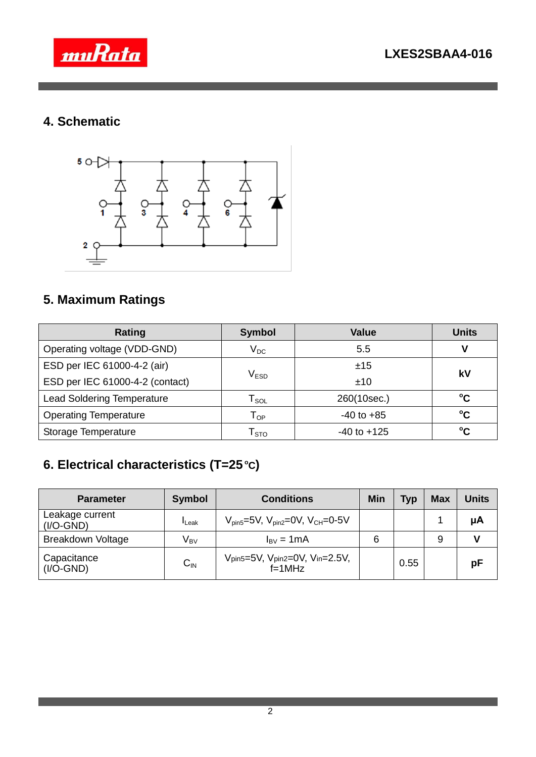

## **4. Schematic**



## **5. Maximum Ratings**

| Rating                            | <b>Value</b><br><b>Symbol</b>                |                 | <b>Units</b> |  |
|-----------------------------------|----------------------------------------------|-----------------|--------------|--|
| Operating voltage (VDD-GND)       | $V_{DC}$                                     | 5.5             |              |  |
| ESD per IEC 61000-4-2 (air)       |                                              | ±15             | kV           |  |
| ESD per IEC 61000-4-2 (contact)   | $\mathsf{V}_{\texttt{ESD}}$                  | ±10             |              |  |
| <b>Lead Soldering Temperature</b> | $\mathsf{T}_{\mathsf{SOL}}$                  | 260(10sec.)     | °C           |  |
| <b>Operating Temperature</b>      | $-40$ to $+85$<br>$\mathsf{T}_{\mathsf{OP}}$ |                 | °C           |  |
| Storage Temperature               | $\mathsf{T}_{\text{STO}}$                    | $-40$ to $+125$ | °C           |  |

## **6. Electrical characteristics (T=25 <sup>o</sup>C)**

| <b>Parameter</b>               | <b>Symbol</b>            | <b>Conditions</b>                                                        | <b>Min</b> | <b>Typ</b> | <b>Max</b> | <b>Units</b> |
|--------------------------------|--------------------------|--------------------------------------------------------------------------|------------|------------|------------|--------------|
| Leakage current<br>$(I/O-GND)$ | <b>I</b> Leak            | $V_{\text{pin5}} = 5V$ , $V_{\text{pin2}} = 0V$ , $V_{\text{CH}} = 0.5V$ |            |            |            | μA           |
| Breakdown Voltage              | $\mathsf{V}_\mathsf{BV}$ | $I_{\rm BV} = 1 \text{mA}$                                               | 6          |            | 9          |              |
| Capacitance<br>$(I/O-GND)$     | $C_{\text{IN}}$          | Vpin5=5V, Vpin2=0V, Vin=2.5V,<br>$f=1$ MHz                               |            | 0.55       |            | рF           |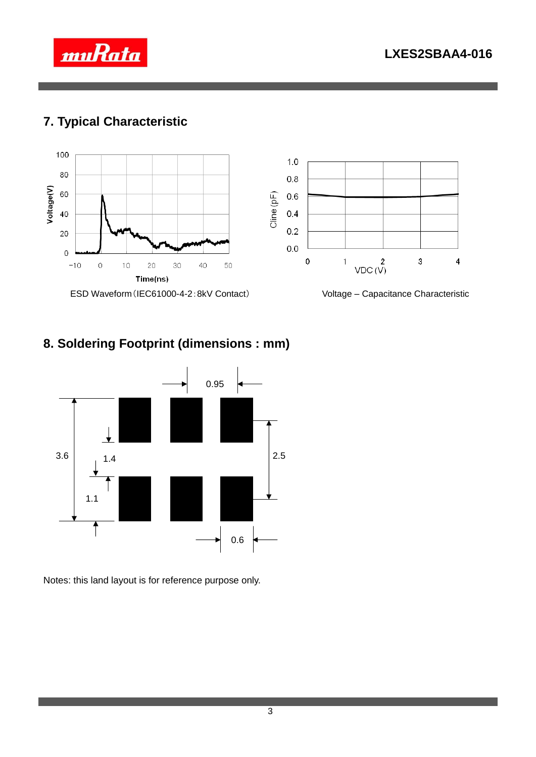

### **7. Typical Characteristic**



### **8. Soldering Footprint (dimensions : mm)**



Notes: this land layout is for reference purpose only.